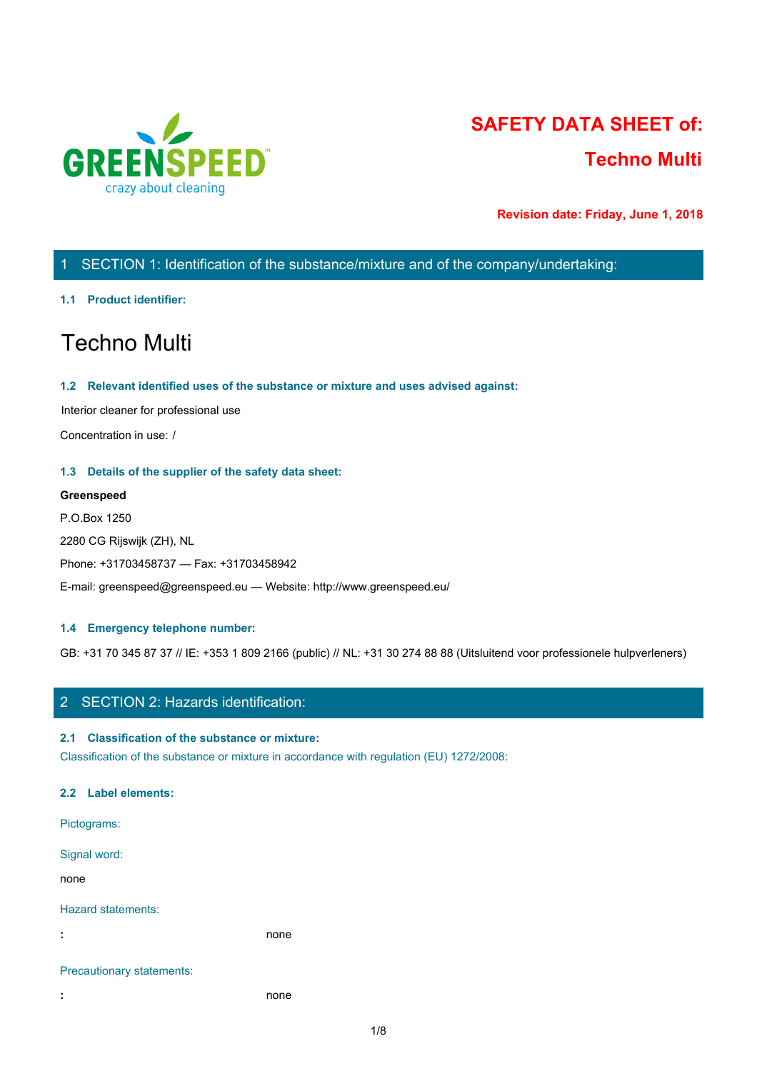

# **SAFETY DATA SHEET of: Techno Multi**

**Revision date: Friday, June 1, 2018**

# 1 SECTION 1: Identification of the substance/mixture and of the company/undertaking:

## **1.1 Product identifier:**

# Techno Multi

## **1.2 Relevant identified uses of the substance or mixture and uses advised against:**

Interior cleaner for professional use

Concentration in use: /

## **1.3 Details of the supplier of the safety data sheet:**

## **Greenspeed**

P.O.Box 1250 2280 CG Rijswijk (ZH), NL Phone: +31703458737 — Fax: +31703458942 E-mail: greenspeed@greenspeed.eu — Website: http://www.greenspeed.eu/

## **1.4 Emergency telephone number:**

GB: +31 70 345 87 37 // IE: +353 1 809 2166 (public) // NL: +31 30 274 88 88 (Uitsluitend voor professionele hulpverleners)

## 2 SECTION 2: Hazards identification:

## **2.1 Classification of the substance or mixture:**

Classification of the substance or mixture in accordance with regulation (EU) 1272/2008:

## **2.2 Label elements:**

Pictograms: Signal word: none and the state of the state of the state of the state of the state of the state of the state of the state of the state of the state of the state of the state of the state of the state of the state of the state of the s Hazard statements: **:** none Precautionary statements:

**:** none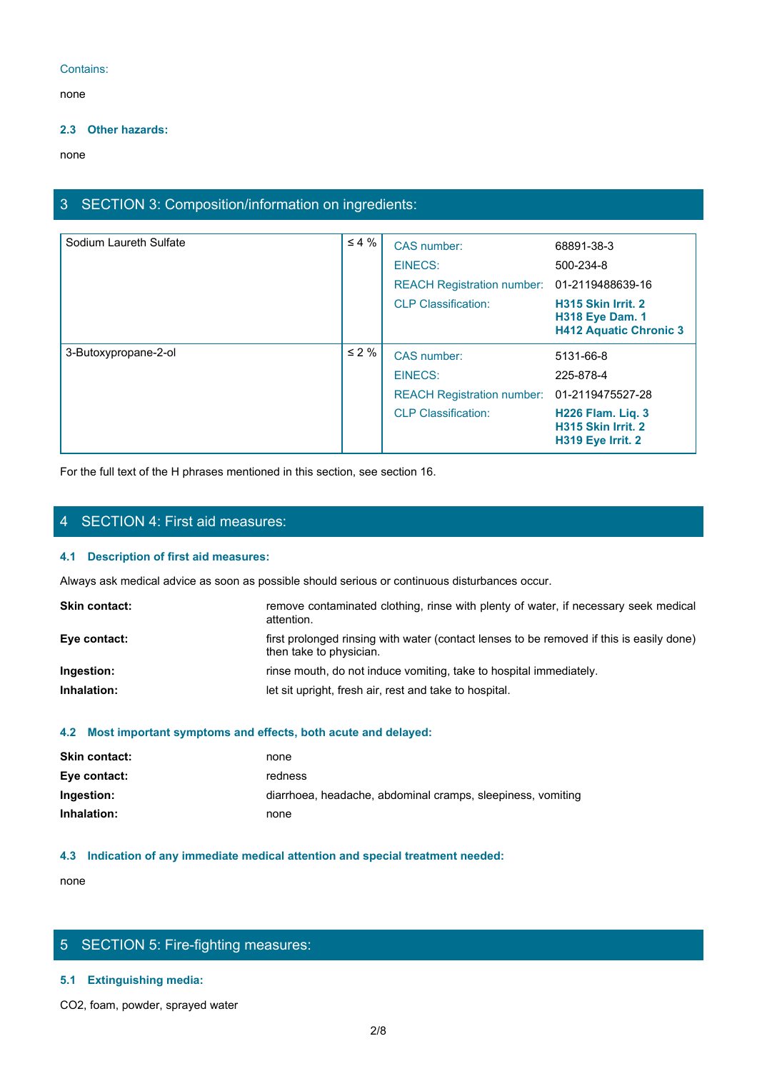## Contains:

none and the state of the state of the state of the state of the state of the state of the state of the state of the state of the state of the state of the state of the state of the state of the state of the state of the s

## **2.3 Other hazards:**

none and the state of the state of the state of the state of the state of the state of the state of the state of the state of the state of the state of the state of the state of the state of the state of the state of the s

# 3 SECTION 3: Composition/information on ingredients:

| Sodium Laureth Sulfate | $\leq 4\%$ | CAS number:                                 | 68891-38-3                                                                    |
|------------------------|------------|---------------------------------------------|-------------------------------------------------------------------------------|
|                        |            | EINECS:                                     | 500-234-8                                                                     |
|                        |            | REACH Registration number: 01-2119488639-16 |                                                                               |
|                        |            | <b>CLP Classification:</b>                  | H315 Skin Irrit. 2<br><b>H318 Eye Dam. 1</b><br><b>H412 Aquatic Chronic 3</b> |
| 3-Butoxypropane-2-ol   | $\leq 2\%$ | CAS number:                                 | 5131-66-8                                                                     |
|                        |            | EINECS:                                     | 225-878-4                                                                     |
|                        |            | <b>REACH Registration number:</b>           | 01-2119475527-28                                                              |
|                        |            | <b>CLP Classification:</b>                  | H226 Flam. Liq. 3<br>H315 Skin Irrit. 2<br><b>H319 Eye Irrit. 2</b>           |

For the full text of the H phrases mentioned in this section, see section 16.

## 4 SECTION 4: First aid measures:

## **4.1 Description of first aid measures:**

Always ask medical advice as soon as possible should serious or continuous disturbances occur.

| <b>Skin contact:</b> | remove contaminated clothing, rinse with plenty of water, if necessary seek medical<br>attention.                   |
|----------------------|---------------------------------------------------------------------------------------------------------------------|
| Eye contact:         | first prolonged rinsing with water (contact lenses to be removed if this is easily done)<br>then take to physician. |
| Ingestion:           | rinse mouth, do not induce vomiting, take to hospital immediately.                                                  |
| Inhalation:          | let sit upright, fresh air, rest and take to hospital.                                                              |
|                      |                                                                                                                     |

#### **4.2 Most important symptoms and effects, both acute and delayed:**

| <b>Skin contact:</b> | none                                                        |
|----------------------|-------------------------------------------------------------|
| Eye contact:         | redness                                                     |
| Ingestion:           | diarrhoea, headache, abdominal cramps, sleepiness, vomiting |
| Inhalation:          | none                                                        |
|                      |                                                             |

## **4.3 Indication of any immediate medical attention and special treatment needed:**

none and the state of the state of the state of the state of the state of the state of the state of the state of the state of the state of the state of the state of the state of the state of the state of the state of the s

## 5 SECTION 5: Fire-fighting measures:

## **5.1 Extinguishing media:**

CO2, foam, powder, sprayed water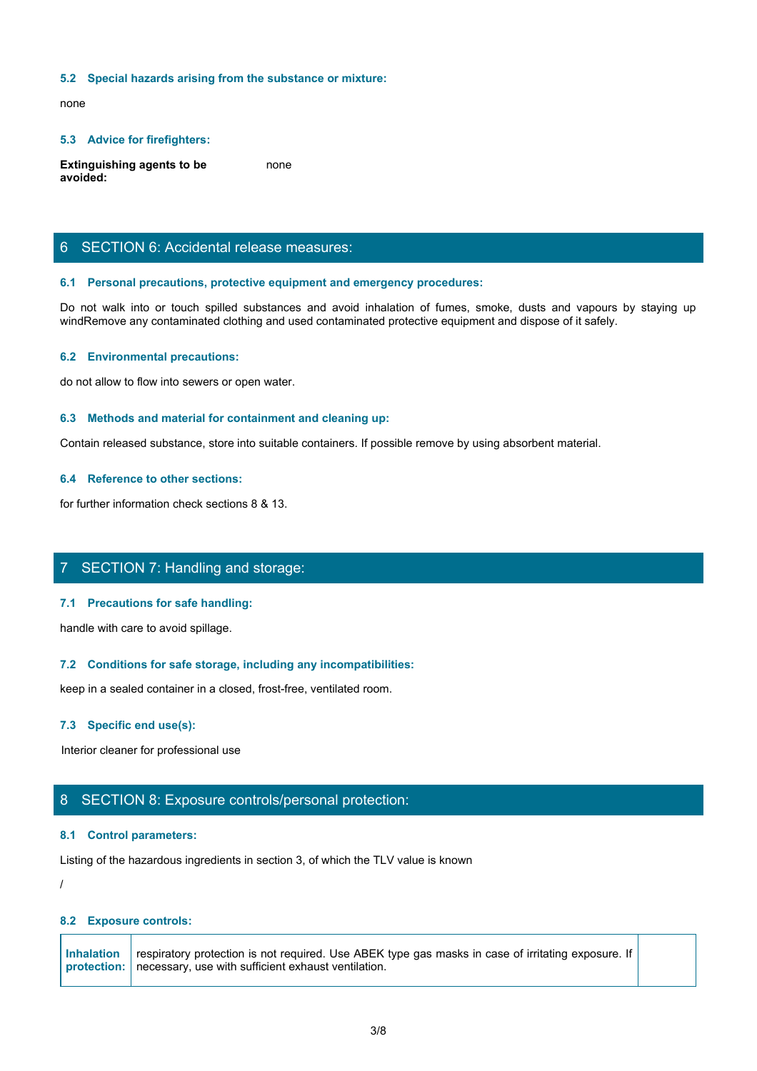## **5.2 Special hazards arising from the substance or mixture:**

none and the state of the state of the state of the state of the state of the state of the state of the state of the state of the state of the state of the state of the state of the state of the state of the state of the s

#### **5.3 Advice for firefighters:**

**Extinguishing agents to be avoided:** none and the state of the state of the state of the state of the state of the state of the state of the state of the state of the state of the state of the state of the state of the state of the state of the state of the s

## 6 SECTION 6: Accidental release measures:

#### **6.1 Personal precautions, protective equipment and emergency procedures:**

S.2 Special hazards arising from the substance or mixture:<br>
Rome<br>
Extinguishing agents to be<br> **Extinguishing agents to be**<br> **Extinguishing agents to be**<br> **EXECTION 6:** Accidental release measures:<br>
Section or to the spille windRemove any contaminated clothing and used contaminated protective equipment and dispose of it safely.

## **6.2 Environmental precautions:**

do not allow to flow into sewers or open water.

#### **6.3 Methods and material for containment and cleaning up:**

Contain released substance, store into suitable containers. If possible remove by using absorbent material.

## **6.4 Reference to other sections:**

for further information check sections 8 & 13.

## 7 SECTION 7: Handling and storage:

## **7.1 Precautions for safe handling:**

handle with care to avoid spillage.

## **7.2 Conditions for safe storage, including any incompatibilities:**

keep in a sealed container in a closed, frost-free, ventilated room.

#### **7.3 Specific end use(s):**

Interior cleaner for professional use

## 8 SECTION 8: Exposure controls/personal protection:

#### **8.1 Control parameters:**

Listing of the hazardous ingredients in section 3, of which the TLV value is known

/

## **8.2 Exposure controls:**

**Inhalation** respiratory protection is not required. Use ABEK type gas masks in case of irritating exposure. If  $\vert$ **protection:** necessary, use with sufficient exhaust ventilation.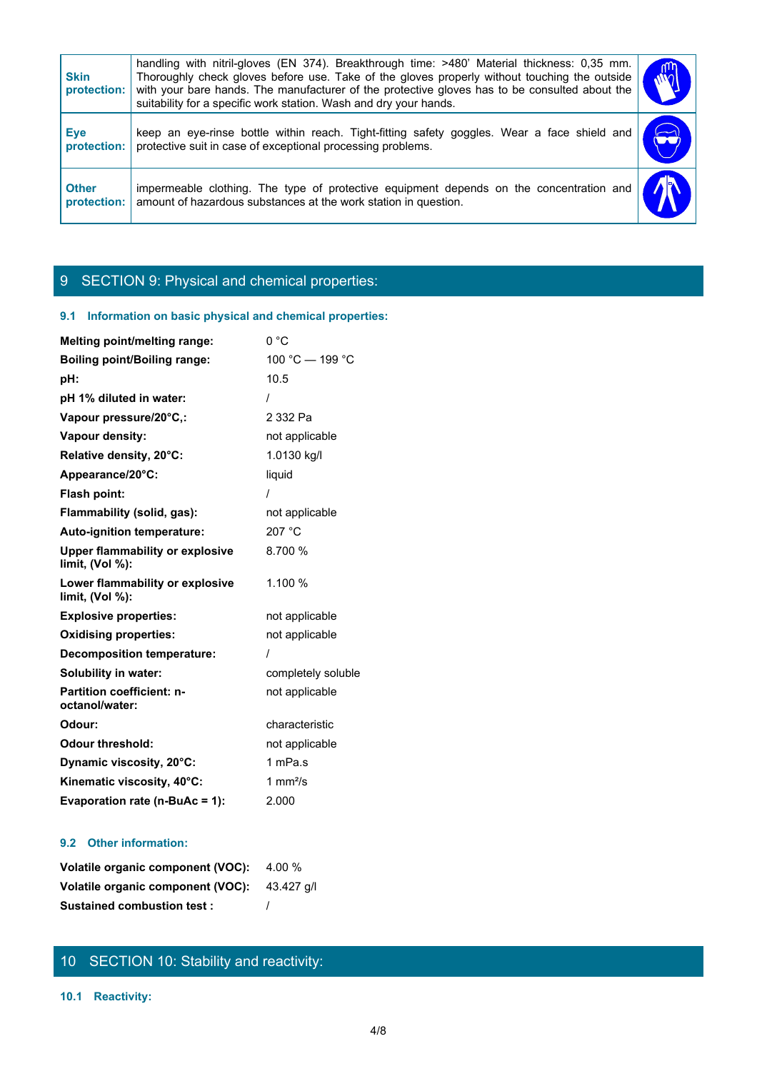| <b>Skin</b><br>protection:  | handling with nitril-gloves (EN 374). Breakthrough time: >480' Material thickness: 0,35 mm.<br>Thoroughly check gloves before use. Take of the gloves properly without touching the outside<br>with your bare hands. The manufacturer of the protective gloves has to be consulted about the<br>suitability for a specific work station. Wash and dry your hands. |                       |  |
|-----------------------------|-------------------------------------------------------------------------------------------------------------------------------------------------------------------------------------------------------------------------------------------------------------------------------------------------------------------------------------------------------------------|-----------------------|--|
| <b>Eye</b><br>protection:   | keep an eye-rinse bottle within reach. Tight-fitting safety goggles. Wear a face shield and<br>protective suit in case of exceptional processing problems.                                                                                                                                                                                                        | $\blacktriangleright$ |  |
| <b>Other</b><br>protection: | impermeable clothing. The type of protective equipment depends on the concentration and<br>amount of hazardous substances at the work station in question.                                                                                                                                                                                                        |                       |  |
|                             |                                                                                                                                                                                                                                                                                                                                                                   |                       |  |
|                             | 9 SECTION 9: Physical and chemical properties:                                                                                                                                                                                                                                                                                                                    |                       |  |

# 9 SECTION 9: Physical and chemical properties:

## **9.1 Information on basic physical and chemical properties:**

| Melting point/melting range:                              | 0 °C               |
|-----------------------------------------------------------|--------------------|
| <b>Boiling point/Boiling range:</b>                       | 100 °C - 199 °C    |
| pH:                                                       | 10.5               |
| pH 1% diluted in water:                                   |                    |
| Vapour pressure/20°C,:                                    | 2 332 Pa           |
| Vapour density:                                           | not applicable     |
| Relative density, 20°C:                                   | 1.0130 kg/l        |
| Appearance/20°C:                                          | liquid             |
| Flash point:                                              |                    |
| Flammability (solid, gas):                                | not applicable     |
| Auto-ignition temperature:                                | 207 °C             |
| <b>Upper flammability or explosive</b><br>limit, (Vol %): | 8.700 %            |
| Lower flammability or explosive<br>limit, $(Vol %)$ :     | 1.100 %            |
| <b>Explosive properties:</b>                              | not applicable     |
| <b>Oxidising properties:</b>                              | not applicable     |
| <b>Decomposition temperature:</b>                         |                    |
| Solubility in water:                                      | completely soluble |
| <b>Partition coefficient: n-</b><br>octanol/water:        | not applicable     |
| Odour:                                                    | characteristic     |
| <b>Odour threshold:</b>                                   | not applicable     |
| Dynamic viscosity, 20°C:                                  | 1 mPa.s            |
| Kinematic viscosity, 40°C:                                | 1 $mm2/s$          |
| Evaporation rate (n-BuAc = 1):                            | 2.000              |

## **9.2 Other information:**

| Volatile organic component (VOC): 4.00 %     |  |
|----------------------------------------------|--|
| Volatile organic component (VOC): 43.427 q/l |  |
| <b>Sustained combustion test:</b>            |  |

# 10 SECTION 10: Stability and reactivity:

## **10.1 Reactivity:**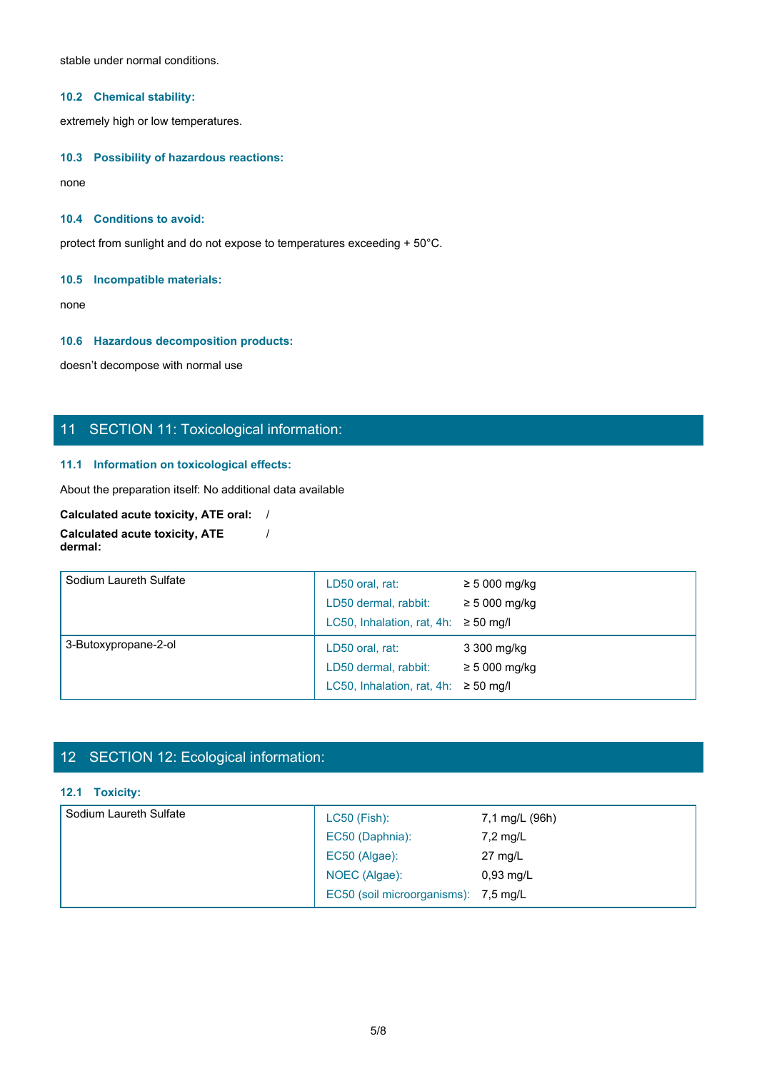stable under normal conditions.

## **10.2 Chemical stability:**

extremely high or low temperatures.

## **10.3 Possibility of hazardous reactions:**

none and the state of the state of the state of the state of the state of the state of the state of the state of the state of the state of the state of the state of the state of the state of the state of the state of the s

## **10.4 Conditions to avoid:**

protect from sunlight and do not expose to temperatures exceeding + 50°C.

## **10.5 Incompatible materials:**

none and the state of the state of the state of the state of the state of the state of the state of the state of the state of the state of the state of the state of the state of the state of the state of the state of the s

## **10.6 Hazardous decomposition products:**

doesn't decompose with normal use

## 11 SECTION 11: Toxicological information:

## **11.1 Information on toxicological effects:**

About the preparation itself: No additional data available

#### **Calculated acute toxicity, ATE oral:** / **Calculated acute toxicity, ATE dermal:** /

| Sodium Laureth Sulfate | LD50 oral, rat:<br>LD50 dermal, rabbit:<br>LC50, Inhalation, rat, 4h: $\geq$ 50 mg/l | $\geq 5000$ mg/kg<br>$\geq$ 5 000 mg/kg |  |
|------------------------|--------------------------------------------------------------------------------------|-----------------------------------------|--|
| 3-Butoxypropane-2-ol   | LD50 oral, rat:<br>LD50 dermal, rabbit:<br>LC50, Inhalation, rat, 4h: $\geq$ 50 mg/l | 3 300 mg/kg<br>$\geq$ 5 000 mg/kg       |  |

# 12 SECTION 12: Ecological information:

## **12.1 Toxicity:**

| Sodium Laureth Sulfate | $LC50$ (Fish):                       | 7,1 mg/L (96h)    |  |
|------------------------|--------------------------------------|-------------------|--|
|                        | EC50 (Daphnia):                      | $7,2$ mg/L        |  |
|                        | EC50 (Algae):                        | $27 \text{ mg/L}$ |  |
|                        | NOEC (Algae):                        | $0,93$ mg/L       |  |
|                        | EC50 (soil microorganisms): 7,5 mg/L |                   |  |
|                        |                                      |                   |  |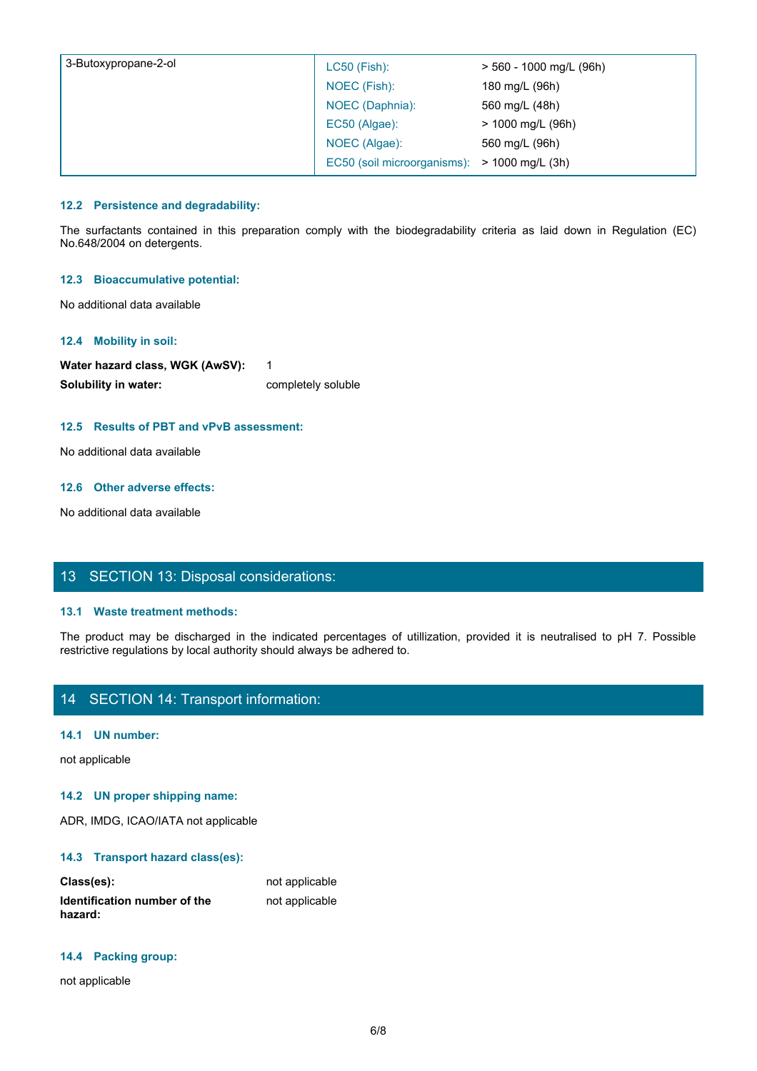| 3-Butoxypropane-2-ol                | LC50 (Fish):                                                                                                            | > 560 - 1000 mg/L (96h) |  |
|-------------------------------------|-------------------------------------------------------------------------------------------------------------------------|-------------------------|--|
|                                     | NOEC (Fish):                                                                                                            | 180 mg/L (96h)          |  |
|                                     | NOEC (Daphnia):                                                                                                         | 560 mg/L (48h)          |  |
|                                     | EC50 (Algae):                                                                                                           | > 1000 mg/L (96h)       |  |
|                                     | NOEC (Algae):                                                                                                           | 560 mg/L (96h)          |  |
|                                     | EC50 (soil microorganisms):                                                                                             | > 1000 mg/L (3h)        |  |
|                                     |                                                                                                                         |                         |  |
| 12.2 Persistence and degradability: |                                                                                                                         |                         |  |
| No.648/2004 on detergents.          | The surfactants contained in this preparation comply with the biodegradability criteria as laid down in Regulation (EC) |                         |  |
|                                     |                                                                                                                         |                         |  |
| 12.3 Bioaccumulative potential:     |                                                                                                                         |                         |  |
| No additional data available        |                                                                                                                         |                         |  |
|                                     |                                                                                                                         |                         |  |

## **12.2 Persistence and degradability:**

## **12.3 Bioaccumulative potential:**

## **12.4 Mobility in soil:**

Water hazard class, WGK (AwSV): 1 **Solubility in water:** completely soluble

## **12.5 Results of PBT and vPvB assessment:**

No additional data available

## **12.6 Other adverse effects:**

No additional data available

## 13 SECTION 13: Disposal considerations:

## **13.1 Waste treatment methods:**

The product may be discharged in the indicated in the indicated in the indicated in the indicated into the solution of solutions of Solutions of DeT and vPvB assessment:<br>
The product may be disclosed to a valiable<br>
The pro restrictive regulations by local authority should always be adhered to.

## 14 SECTION 14: Transport information:

## **14.1 UN number:**

not applicable

#### **14.2 UN proper shipping name:**

ADR, IMDG, ICAO/IATA not applicable

## **14.3 Transport hazard class(es):**

| Class(es):                   | not applicable |  |
|------------------------------|----------------|--|
| Identification number of the | not applicable |  |
| hazard:                      |                |  |

#### **14.4 Packing group:**

not applicable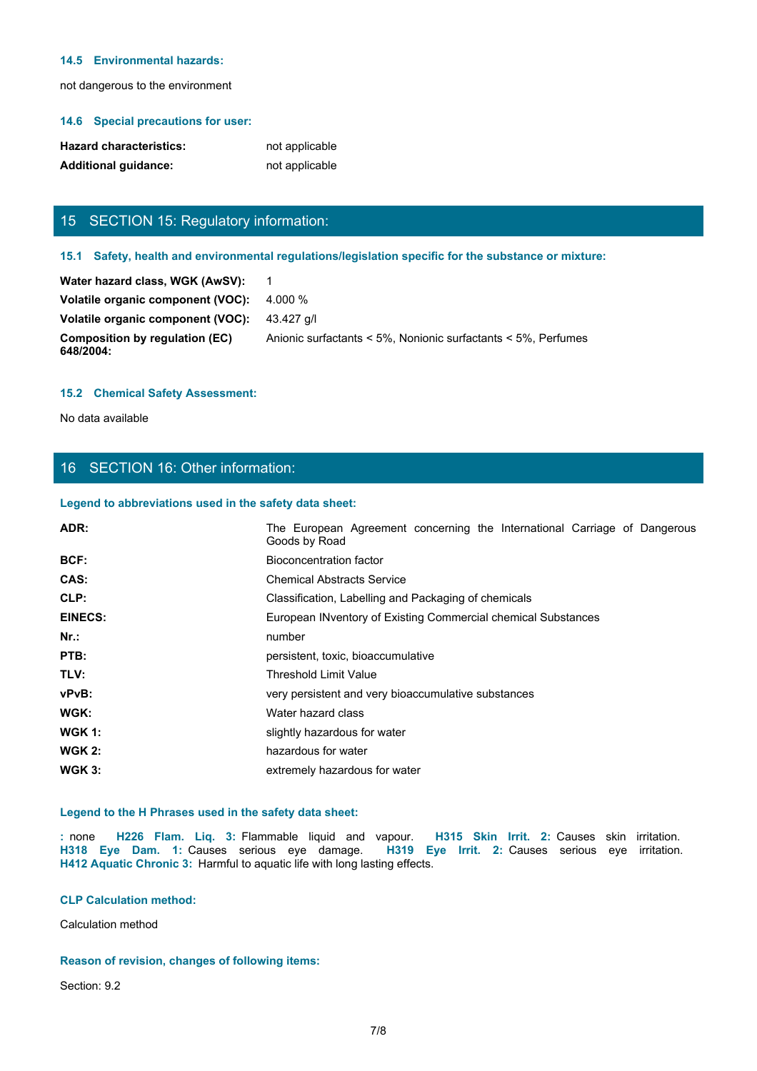#### **14.5 Environmental hazards:**

not dangerous to the environment

#### **14.6 Special precautions for user:**

| <b>Hazard characteristics:</b> | not applicable |
|--------------------------------|----------------|
| <b>Additional quidance:</b>    | not applicable |

## 15 SECTION 15: Regulatory information:

#### **15.2 Chemical Safety Assessment:**

## 16 SECTION 16: Other information:

#### **Legend to abbreviations used in the safety data sheet:**

| <b>Hazard characteristics:</b>                                             | not applicable                                                                                       |
|----------------------------------------------------------------------------|------------------------------------------------------------------------------------------------------|
| <b>Additional guidance:</b>                                                | not applicable                                                                                       |
|                                                                            |                                                                                                      |
| 15 SECTION 15: Regulatory information:                                     |                                                                                                      |
|                                                                            | 15.1 Safety, health and environmental regulations/legislation specific for the substance or mixture: |
| Water hazard class, WGK (AwSV):                                            | $\overline{1}$                                                                                       |
| Volatile organic component (VOC):                                          | 4.000 %                                                                                              |
| Volatile organic component (VOC):                                          | 43.427 g/l                                                                                           |
| <b>Composition by regulation (EC)</b><br>648/2004:                         | Anionic surfactants < 5%, Nonionic surfactants < 5%, Perfumes                                        |
| <b>15.2 Chemical Safety Assessment:</b>                                    |                                                                                                      |
| No data available                                                          |                                                                                                      |
|                                                                            |                                                                                                      |
| 16 SECTION 16: Other information:                                          |                                                                                                      |
| Legend to abbreviations used in the safety data sheet:                     |                                                                                                      |
| ADR:                                                                       | The European Agreement concerning the International Carriage of Dangerous<br>Goods by Road           |
| BCF:                                                                       | <b>Bioconcentration factor</b>                                                                       |
| CAS:                                                                       | <b>Chemical Abstracts Service</b>                                                                    |
| CLP:                                                                       | Classification, Labelling and Packaging of chemicals                                                 |
| <b>EINECS:</b>                                                             | European INventory of Existing Commercial chemical Substances                                        |
| Nr.:                                                                       | number                                                                                               |
| PTB:                                                                       | persistent, toxic, bioaccumulative                                                                   |
| TLV:                                                                       | <b>Threshold Limit Value</b>                                                                         |
| vPvB:                                                                      | very persistent and very bioaccumulative substances                                                  |
| <b>WGK:</b>                                                                | Water hazard class                                                                                   |
| <b>WGK 1:</b>                                                              | slightly hazardous for water                                                                         |
| <b>WGK 2:</b>                                                              | hazardous for water                                                                                  |
| <b>WGK 3:</b>                                                              | extremely hazardous for water                                                                        |
| Legend to the H Phrases used in the safety data sheet:                     | : none H226 Flam. Liq. 3: Flammable liquid and vapour. H315 Skin Irrit. 2: Causes skin irritation.   |
| H412 Aquatic Chronic 3: Harmful to aquatic life with long lasting effects. | H318 Eye Dam. 1: Causes serious eye damage. H319 Eye Irrit. 2: Causes serious eye irritation.        |
| <b>CLP Calculation method:</b>                                             |                                                                                                      |
| Calculation method                                                         |                                                                                                      |
|                                                                            |                                                                                                      |

## **Legend to the H Phrases used in the safety data sheet:**

## **CLP Calculation method:**

## **Reason of revision, changes of following items:**

Section: 9.2